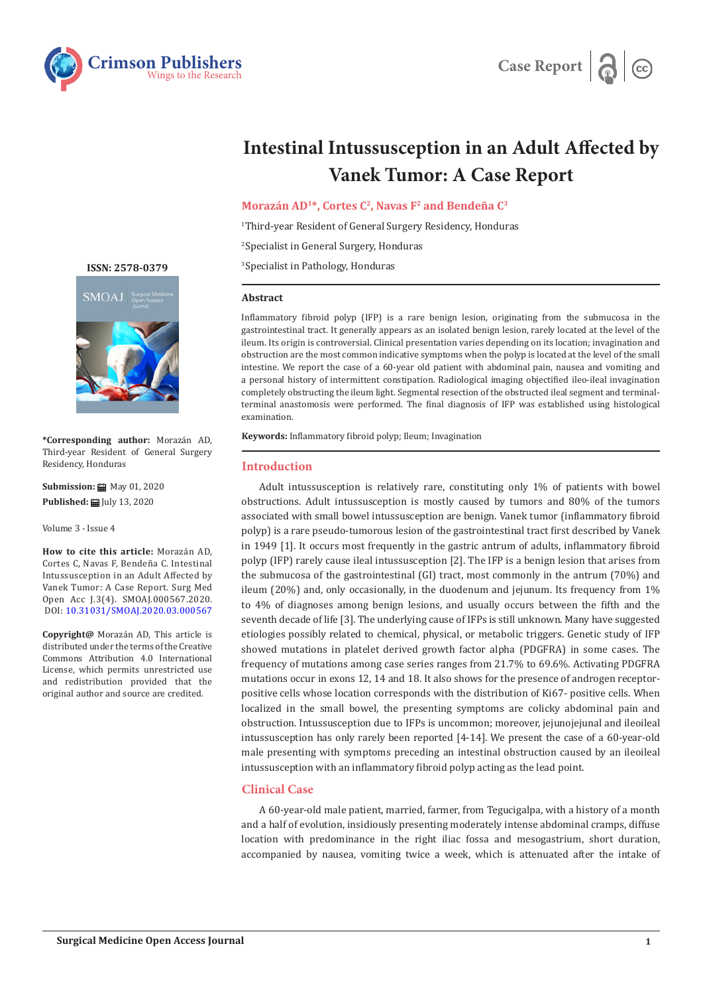



# **Intestinal Intussusception in an Adult Affected by Vanek Tumor: A Case Report**

**Morazán AD1\*, Cortes C2, Navas F2 and Bendeña C3**

1 Third-year Resident of General Surgery Residency, Honduras

2 Specialist in General Surgery, Honduras

3 Specialist in Pathology, Honduras

### **Abstract**

Inflammatory fibroid polyp (IFP) is a rare benign lesion, originating from the submucosa in the gastrointestinal tract. It generally appears as an isolated benign lesion, rarely located at the level of the ileum. Its origin is controversial. Clinical presentation varies depending on its location; invagination and obstruction are the most common indicative symptoms when the polyp is located at the level of the small intestine. We report the case of a 60-year old patient with abdominal pain, nausea and vomiting and a personal history of intermittent constipation. Radiological imaging objectified ileo-ileal invagination completely obstructing the ileum light. Segmental resection of the obstructed ileal segment and terminalterminal anastomosis were performed. The final diagnosis of IFP was established using histological examination.

**Keywords:** Inflammatory fibroid polyp; Ileum; Invagination

## **Introduction**

Adult intussusception is relatively rare, constituting only 1% of patients with bowel obstructions. Adult intussusception is mostly caused by tumors and 80% of the tumors associated with small bowel intussusception are benign. Vanek tumor (inflammatory fibroid polyp) is a rare pseudo-tumorous lesion of the gastrointestinal tract first described by Vanek in 1949 [1]. It occurs most frequently in the gastric antrum of adults, inflammatory fibroid polyp (IFP) rarely cause ileal intussusception [2]. The IFP is a benign lesion that arises from the submucosa of the gastrointestinal (GI) tract, most commonly in the antrum (70%) and ileum (20%) and, only occasionally, in the duodenum and jejunum. Its frequency from 1% to 4% of diagnoses among benign lesions, and usually occurs between the fifth and the seventh decade of life [3]. The underlying cause of IFPs is still unknown. Many have suggested etiologies possibly related to chemical, physical, or metabolic triggers. Genetic study of IFP showed mutations in platelet derived growth factor alpha (PDGFRA) in some cases. The frequency of mutations among case series ranges from 21.7% to 69.6%. Activating PDGFRA mutations occur in exons 12, 14 and 18. It also shows for the presence of androgen receptorpositive cells whose location corresponds with the distribution of Ki67- positive cells. When localized in the small bowel, the presenting symptoms are colicky abdominal pain and obstruction. Intussusception due to IFPs is uncommon; moreover, jejunojejunal and ileoileal intussusception has only rarely been reported [4-14]. We present the case of a 60-year-old male presenting with symptoms preceding an intestinal obstruction caused by an ileoileal intussusception with an inflammatory fibroid polyp acting as the lead point.

## **Clinical Case**

A 60-year-old male patient, married, farmer, from Tegucigalpa, with a history of a month and a half of evolution, insidiously presenting moderately intense abdominal cramps, diffuse location with predominance in the right iliac fossa and mesogastrium, short duration, accompanied by nausea, vomiting twice a week, which is attenuated after the intake of

**[ISSN: 2578-0379](https://crimsonpublishers.com/smoaj)**



**\*Corresponding author:** Morazán AD, Third-year Resident of General Surgery Residency, Honduras

**Submission:** ■ May 01, 2020 **Published:** July 13, 2020

Volume 3 - Issue 4

**How to cite this article:** Morazán AD, Cortes C, Navas F, Bendeña C. Intestinal Intussusception in an Adult Affected by Vanek Tumor: A Case Report. Surg Med Open Acc J.3(4). SMOAJ.000567.2020. DOI: [10.31031/SMOAJ.2020.03.000567](http://dx.doi.org/10.31031/SMOAJ.2020.03.000567)

**Copyright@** Morazán AD, This article is distributed under the terms of the Creative Commons Attribution 4.0 International License, which permits unrestricted use and redistribution provided that the original author and source are credited.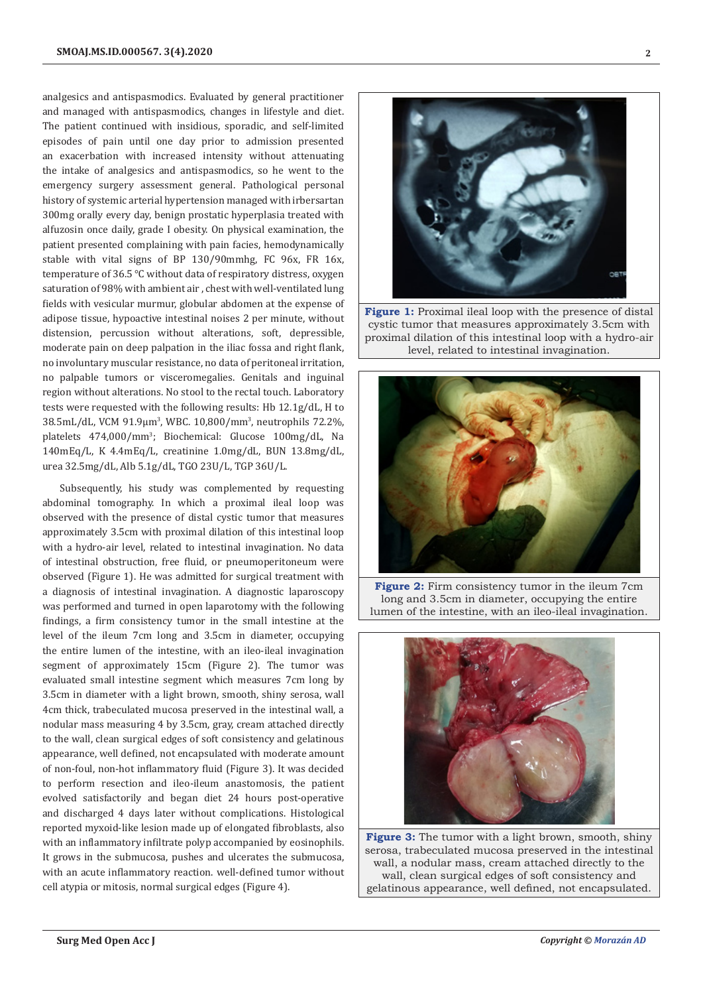analgesics and antispasmodics. Evaluated by general practitioner and managed with antispasmodics, changes in lifestyle and diet. The patient continued with insidious, sporadic, and self-limited episodes of pain until one day prior to admission presented an exacerbation with increased intensity without attenuating the intake of analgesics and antispasmodics, so he went to the emergency surgery assessment general. Pathological personal history of systemic arterial hypertension managed with irbersartan 300mg orally every day, benign prostatic hyperplasia treated with alfuzosin once daily, grade I obesity. On physical examination, the patient presented complaining with pain facies, hemodynamically stable with vital signs of BP 130/90mmhg, FC 96x, FR 16x, temperature of 36.5 ℃ without data of respiratory distress, oxygen saturation of 98% with ambient air , chest with well-ventilated lung fields with vesicular murmur, globular abdomen at the expense of adipose tissue, hypoactive intestinal noises 2 per minute, without distension, percussion without alterations, soft, depressible, moderate pain on deep palpation in the iliac fossa and right flank, no involuntary muscular resistance, no data of peritoneal irritation, no palpable tumors or visceromegalies. Genitals and inguinal region without alterations. No stool to the rectal touch. Laboratory tests were requested with the following results: Hb 12.1g/dL, H to 38.5mL/dL, VCM 91.9μm<sup>3</sup> , WBC. 10,800/mm3 , neutrophils 72.2%, platelets 474,000/mm3 ; Biochemical: Glucose 100mg/dL, Na 140mEq/L, K 4.4mEq/L, creatinine 1.0mg/dL, BUN 13.8mg/dL, urea 32.5mg/dL, Alb 5.1g/dL, TGO 23U/L, TGP 36U/L.

Subsequently, his study was complemented by requesting abdominal tomography. In which a proximal ileal loop was observed with the presence of distal cystic tumor that measures approximately 3.5cm with proximal dilation of this intestinal loop with a hydro-air level, related to intestinal invagination. No data of intestinal obstruction, free fluid, or pneumoperitoneum were observed (Figure 1). He was admitted for surgical treatment with a diagnosis of intestinal invagination. A diagnostic laparoscopy was performed and turned in open laparotomy with the following findings, a firm consistency tumor in the small intestine at the level of the ileum 7cm long and 3.5cm in diameter, occupying the entire lumen of the intestine, with an ileo-ileal invagination segment of approximately 15cm (Figure 2). The tumor was evaluated small intestine segment which measures 7cm long by 3.5cm in diameter with a light brown, smooth, shiny serosa, wall 4cm thick, trabeculated mucosa preserved in the intestinal wall, a nodular mass measuring 4 by 3.5cm, gray, cream attached directly to the wall, clean surgical edges of soft consistency and gelatinous appearance, well defined, not encapsulated with moderate amount of non-foul, non-hot inflammatory fluid (Figure 3). It was decided to perform resection and ileo-ileum anastomosis, the patient evolved satisfactorily and began diet 24 hours post-operative and discharged 4 days later without complications. Histological reported myxoid-like lesion made up of elongated fibroblasts, also with an inflammatory infiltrate polyp accompanied by eosinophils. It grows in the submucosa, pushes and ulcerates the submucosa, with an acute inflammatory reaction. well-defined tumor without cell atypia or mitosis, normal surgical edges (Figure 4).



**Figure 1:** Proximal ileal loop with the presence of distal cystic tumor that measures approximately 3.5cm with proximal dilation of this intestinal loop with a hydro-air level, related to intestinal invagination.



**Figure 2:** Firm consistency tumor in the ileum 7cm long and 3.5cm in diameter, occupying the entire lumen of the intestine, with an ileo-ileal invagination.



**Figure 3:** The tumor with a light brown, smooth, shiny serosa, trabeculated mucosa preserved in the intestinal wall, a nodular mass, cream attached directly to the wall, clean surgical edges of soft consistency and gelatinous appearance, well defined, not encapsulated.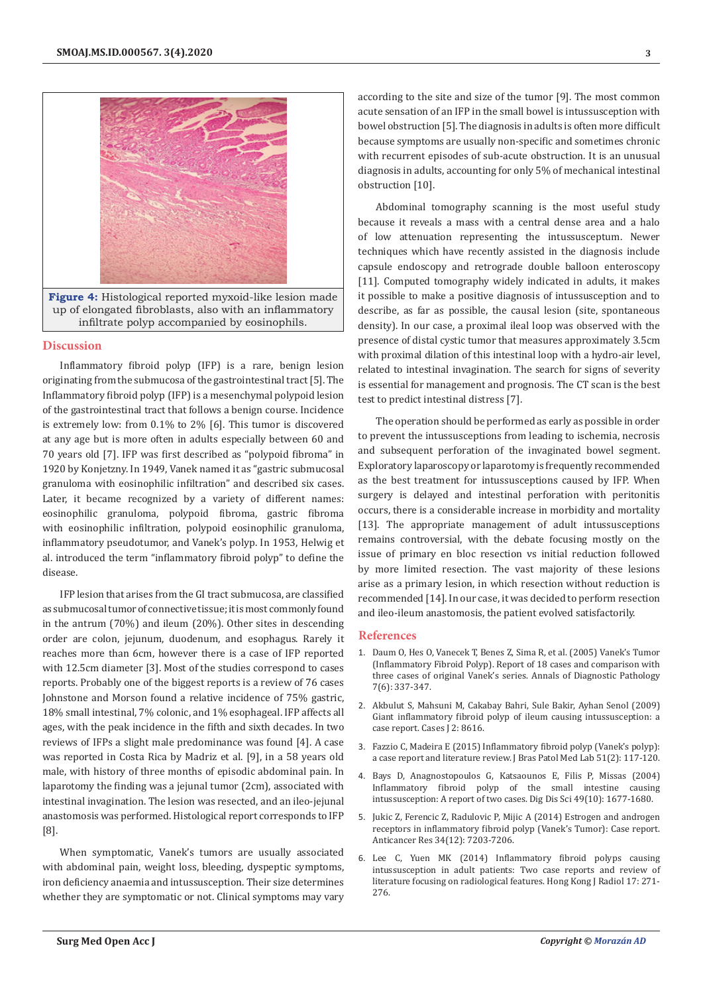

#### **Discussion**

Inflammatory fibroid polyp (IFP) is a rare, benign lesion originating from the submucosa of the gastrointestinal tract [5]. The Inflammatory fibroid polyp (IFP) is a mesenchymal polypoid lesion of the gastrointestinal tract that follows a benign course. Incidence is extremely low: from 0.1% to 2% [6]. This tumor is discovered at any age but is more often in adults especially between 60 and 70 years old [7]. IFP was first described as "polypoid fibroma" in 1920 by Konjetzny. In 1949, Vanek named it as "gastric submucosal granuloma with eosinophilic infiltration" and described six cases. Later, it became recognized by a variety of different names: eosinophilic granuloma, polypoid fibroma, gastric fibroma with eosinophilic infiltration, polypoid eosinophilic granuloma, inflammatory pseudotumor, and Vanek's polyp. In 1953, Helwig et al. introduced the term "inflammatory fibroid polyp" to define the disease.

IFP lesion that arises from the GI tract submucosa, are classified as submucosal tumor of connective tissue; it is most commonly found in the antrum (70%) and ileum (20%). Other sites in descending order are colon, jejunum, duodenum, and esophagus. Rarely it reaches more than 6cm, however there is a case of IFP reported with 12.5cm diameter [3]. Most of the studies correspond to cases reports. Probably one of the biggest reports is a review of 76 cases Johnstone and Morson found a relative incidence of 75% gastric, 18% small intestinal, 7% colonic, and 1% esophageal. IFP affects all ages, with the peak incidence in the fifth and sixth decades. In two reviews of IFPs a slight male predominance was found [4]. A case was reported in Costa Rica by Madriz et al. [9], in a 58 years old male, with history of three months of episodic abdominal pain. In laparotomy the finding was a jejunal tumor (2cm), associated with intestinal invagination. The lesion was resected, and an ileo-jejunal anastomosis was performed. Histological report corresponds to IFP [8].

When symptomatic, Vanek's tumors are usually associated with abdominal pain, weight loss, bleeding, dyspeptic symptoms, iron deficiency anaemia and intussusception. Their size determines whether they are symptomatic or not. Clinical symptoms may vary according to the site and size of the tumor [9]. The most common acute sensation of an IFP in the small bowel is intussusception with bowel obstruction [5]. The diagnosis in adults is often more difficult because symptoms are usually non-specific and sometimes chronic with recurrent episodes of sub-acute obstruction. It is an unusual diagnosis in adults, accounting for only 5% of mechanical intestinal obstruction [10].

Abdominal tomography scanning is the most useful study because it reveals a mass with a central dense area and a halo of low attenuation representing the intussusceptum. Newer techniques which have recently assisted in the diagnosis include capsule endoscopy and retrograde double balloon enteroscopy [11]. Computed tomography widely indicated in adults, it makes it possible to make a positive diagnosis of intussusception and to describe, as far as possible, the causal lesion (site, spontaneous density). In our case, a proximal ileal loop was observed with the presence of distal cystic tumor that measures approximately 3.5cm with proximal dilation of this intestinal loop with a hydro-air level, related to intestinal invagination. The search for signs of severity is essential for management and prognosis. The CT scan is the best test to predict intestinal distress [7].

The operation should be performed as early as possible in order to prevent the intussusceptions from leading to ischemia, necrosis and subsequent perforation of the invaginated bowel segment. Exploratory laparoscopy or laparotomy is frequently recommended as the best treatment for intussusceptions caused by IFP. When surgery is delayed and intestinal perforation with peritonitis occurs, there is a considerable increase in morbidity and mortality [13]. The appropriate management of adult intussusceptions remains controversial, with the debate focusing mostly on the issue of primary en bloc resection vs initial reduction followed by more limited resection. The vast majority of these lesions arise as a primary lesion, in which resection without reduction is recommended [14]. In our case, it was decided to perform resection and ileo-ileum anastomosis, the patient evolved satisfactorily.

#### **References**

- 1. [Daum O, Hes O, Vanecek T, Benes Z, Sima R, et al. \(2005\) Vanek's Tumor](https://www.sciencedirect.com/science/article/abs/pii/S109291340300114X) [\(Inflammatory Fibroid Polyp\). Report of 18 cases and comparison with](https://www.sciencedirect.com/science/article/abs/pii/S109291340300114X) [three cases of original Vanek's series. Annals of Diagnostic Pathology](https://www.sciencedirect.com/science/article/abs/pii/S109291340300114X) [7\(6\): 337-347.](https://www.sciencedirect.com/science/article/abs/pii/S109291340300114X)
- 2. [Akbulut S, Mahsuni M, Cakabay Bahri, Sule Bakir, Ayhan Senol \(2009\)](https://pubmed.ncbi.nlm.nih.gov/19918392/) [Giant inflammatory fibroid polyp of ileum causing intussusception: a](https://pubmed.ncbi.nlm.nih.gov/19918392/) [case report. Cases J 2: 8616.](https://pubmed.ncbi.nlm.nih.gov/19918392/)
- 3. Fazzio C, Madeira E (2015) Inflammatory fibroid polyp (Vanek's polyp): a case report and literature review. J Bras Patol Med Lab 51(2): 117-120.
- 4. [Bays D, Anagnostopoulos G, Katsaounos E, Filis P, Missas \(2004\)](https://pubmed.ncbi.nlm.nih.gov/15573926/) [Inflammatory fibroid polyp of the small intestine causing](https://pubmed.ncbi.nlm.nih.gov/15573926/) [intussusception: A report of two cases. Dig Dis Sci 49\(10\): 1677-1680.](https://pubmed.ncbi.nlm.nih.gov/15573926/)
- 5. [Jukic Z, Ferencic Z, Radulovic P, Mijic A \(2014\) Estrogen and androgen](https://pubmed.ncbi.nlm.nih.gov/25503150/) [receptors in inflammatory fibroid polyp \(Vanek's Tumor\): Case report.](https://pubmed.ncbi.nlm.nih.gov/25503150/) [Anticancer Res 34\(12\): 7203-7206.](https://pubmed.ncbi.nlm.nih.gov/25503150/)
- 6. Lee C, Yuen MK (2014) Inflammatory fibroid polyps causing intussusception in adult patients: Two case reports and review of literature focusing on radiological features. Hong Kong J Radiol 17: 271- 276.